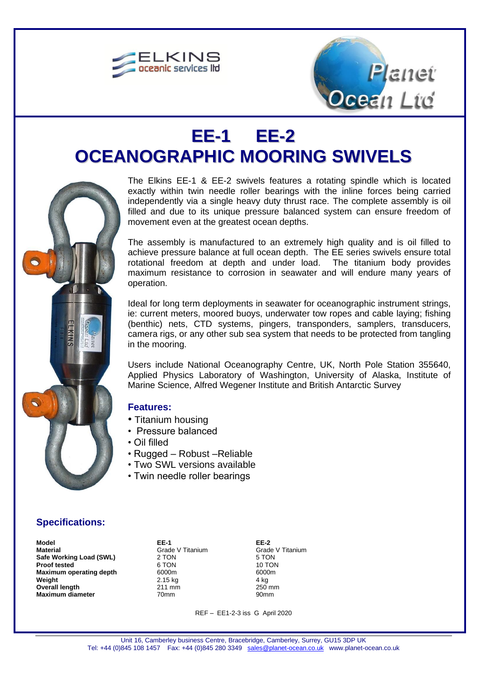



## **EE-1 EE-2 OCEANOGRAPHIC MOORING SWIVELS**



The Elkins EE-1 & EE-2 swivels features a rotating spindle which is located exactly within twin needle roller bearings with the inline forces being carried independently via a single heavy duty thrust race. The complete assembly is oil filled and due to its unique pressure balanced system can ensure freedom of movement even at the greatest ocean depths.

The assembly is manufactured to an extremely high quality and is oil filled to achieve pressure balance at full ocean depth. The EE series swivels ensure total rotational freedom at depth and under load. The titanium body provides maximum resistance to corrosion in seawater and will endure many years of operation.

Ideal for long term deployments in seawater for oceanographic instrument strings, ie: current meters, moored buoys, underwater tow ropes and cable laying; fishing (benthic) nets, CTD systems, pingers, transponders, samplers, transducers, camera rigs, or any other sub sea system that needs to be protected from tangling in the mooring.

Users include National Oceanography Centre, UK, North Pole Station 355640, Applied Physics Laboratory of Washington, University of Alaska, Institute of Marine Science, Alfred Wegener Institute and British Antarctic Survey

## **Features:**

- Titanium housing
- Pressure balanced
- Oil filled
- Rugged Robust –Reliable
- Two SWL versions available
- Twin needle roller bearings

## **Specifications:**

**Model Material Safe Working Load (SWL) Proof tested Maximum operating depth Weight Overall length Maximum diameter**

**EE-1** Grade V Titanium 2 TON 6 TON 6000m 2.15 kg 211 mm 70mm

**EE-2** Grade V Titanium 5 TON 10 TON 6000m 4 kg 250 mm 90mm

REF – EE1-2-3 iss G April 2020